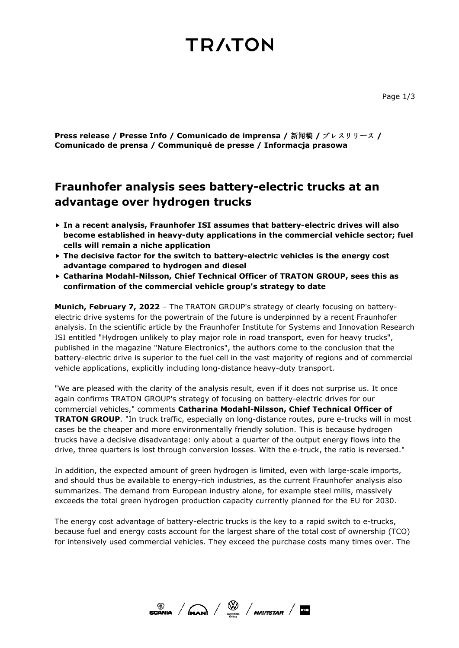### **TRATON**

**Press release / Presse Info / Comunicado de imprensa /** 新闻稿 **/** プレスリリース **/ Comunicado de prensa / Communiqué de presse / Informacja prasowa**

#### **Fraunhofer analysis sees battery-electric trucks at an advantage over hydrogen trucks**

- **In a recent analysis, Fraunhofer ISI assumes that battery-electric drives will also become established in heavy-duty applications in the commercial vehicle sector; fuel cells will remain a niche application**
- **The decisive factor for the switch to battery-electric vehicles is the energy cost advantage compared to hydrogen and diesel**
- **Catharina Modahl-Nilsson, Chief Technical Officer of TRATON GROUP, sees this as confirmation of the commercial vehicle group's strategy to date**

**Munich, February 7, 2022** – The TRATON GROUP's strategy of clearly focusing on batteryelectric drive systems for the powertrain of the future is underpinned by a recent Fraunhofer analysis. In the scientific article by the Fraunhofer Institute for Systems and Innovation Research ISI entitled "Hydrogen unlikely to play major role in road transport, even for heavy trucks", published in the magazine "Nature Electronics", the authors come to the conclusion that the battery-electric drive is superior to the fuel cell in the vast majority of regions and of commercial vehicle applications, explicitly including long-distance heavy-duty transport.

"We are pleased with the clarity of the analysis result, even if it does not surprise us. It once again confirms TRATON GROUP's strategy of focusing on battery-electric drives for our commercial vehicles," comments **Catharina Modahl-Nilsson, Chief Technical Officer of TRATON GROUP**. "In truck traffic, especially on long-distance routes, pure e-trucks will in most cases be the cheaper and more environmentally friendly solution. This is because hydrogen trucks have a decisive disadvantage: only about a quarter of the output energy flows into the drive, three quarters is lost through conversion losses. With the e-truck, the ratio is reversed."

In addition, the expected amount of green hydrogen is limited, even with large-scale imports, and should thus be available to energy-rich industries, as the current Fraunhofer analysis also summarizes. The demand from European industry alone, for example steel mills, massively exceeds the total green hydrogen production capacity currently planned for the EU for 2030.

The energy cost advantage of battery-electric trucks is the key to a rapid switch to e-trucks, because fuel and energy costs account for the largest share of the total cost of ownership (TCO) for intensively used commercial vehicles. They exceed the purchase costs many times over. The

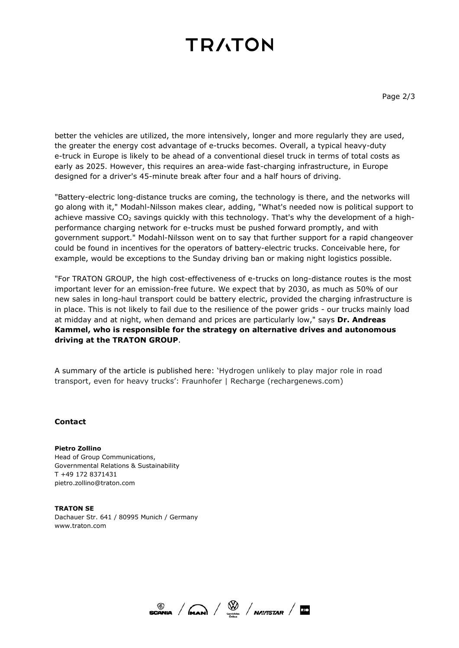# **TRATON**

better the vehicles are utilized, the more intensively, longer and more regularly they are used, the greater the energy cost advantage of e-trucks becomes. Overall, a typical heavy-duty e-truck in Europe is likely to be ahead of a conventional diesel truck in terms of total costs as early as 2025. However, this requires an area-wide fast-charging infrastructure, in Europe designed for a driver's 45-minute break after four and a half hours of driving.

"Battery-electric long-distance trucks are coming, the technology is there, and the networks will go along with it," Modahl-Nilsson makes clear, adding, "What's needed now is political support to achieve massive  $CO<sub>2</sub>$  savings quickly with this technology. That's why the development of a highperformance charging network for e-trucks must be pushed forward promptly, and with government support." Modahl-Nilsson went on to say that further support for a rapid changeover could be found in incentives for the operators of battery-electric trucks. Conceivable here, for example, would be exceptions to the Sunday driving ban or making night logistics possible.

"For TRATON GROUP, the high cost-effectiveness of e-trucks on long-distance routes is the most important lever for an emission-free future. We expect that by 2030, as much as 50% of our new sales in long-haul transport could be battery electric, provided the charging infrastructure is in place. This is not likely to fail due to the resilience of the power grids - our trucks mainly load at midday and at night, when demand and prices are particularly low," says **Dr. Andreas Kammel, who is responsible for the strategy on alternative drives and autonomous driving at the TRATON GROUP**.

A summary of the article is published here: ['Hydrogen unlikely to play major role in road](https://www.rechargenews.com/energy-transition/-hydrogen-unlikely-to-play-major-role-in-road-transport-even-for-heavy-trucks-fraunhofer/2-1-1162055)  [transport, even for heavy trucks': Fraunhofer | Recharge \(rechargenews.com\)](https://www.rechargenews.com/energy-transition/-hydrogen-unlikely-to-play-major-role-in-road-transport-even-for-heavy-trucks-fraunhofer/2-1-1162055)

#### **Contact**

**Pietro Zollino** Head of Group Communications, Governmental Relations & Sustainability T +49 172 8371431 pietro.zollino@traton.com

**TRATON SE**  Dachauer Str. 641 / 80995 Munich / Germany www.traton.com